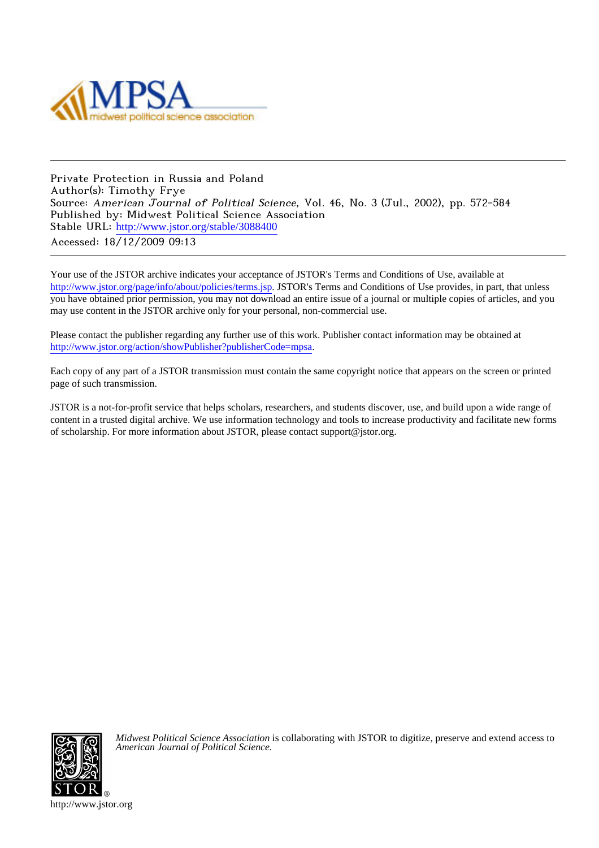

Private Protection in Russia and Poland Author(s): Timothy Frye Source: American Journal of Political Science, Vol. 46, No. 3 (Jul., 2002), pp. 572-584 Published by: Midwest Political Science Association Stable URL: [http://www.jstor.org/stable/3088400](http://www.jstor.org/stable/3088400?origin=JSTOR-pdf) Accessed: 18/12/2009 09:13

Your use of the JSTOR archive indicates your acceptance of JSTOR's Terms and Conditions of Use, available at <http://www.jstor.org/page/info/about/policies/terms.jsp>. JSTOR's Terms and Conditions of Use provides, in part, that unless you have obtained prior permission, you may not download an entire issue of a journal or multiple copies of articles, and you may use content in the JSTOR archive only for your personal, non-commercial use.

Please contact the publisher regarding any further use of this work. Publisher contact information may be obtained at <http://www.jstor.org/action/showPublisher?publisherCode=mpsa>.

Each copy of any part of a JSTOR transmission must contain the same copyright notice that appears on the screen or printed page of such transmission.

JSTOR is a not-for-profit service that helps scholars, researchers, and students discover, use, and build upon a wide range of content in a trusted digital archive. We use information technology and tools to increase productivity and facilitate new forms of scholarship. For more information about JSTOR, please contact support@jstor.org.



*Midwest Political Science Association* is collaborating with JSTOR to digitize, preserve and extend access to *American Journal of Political Science.*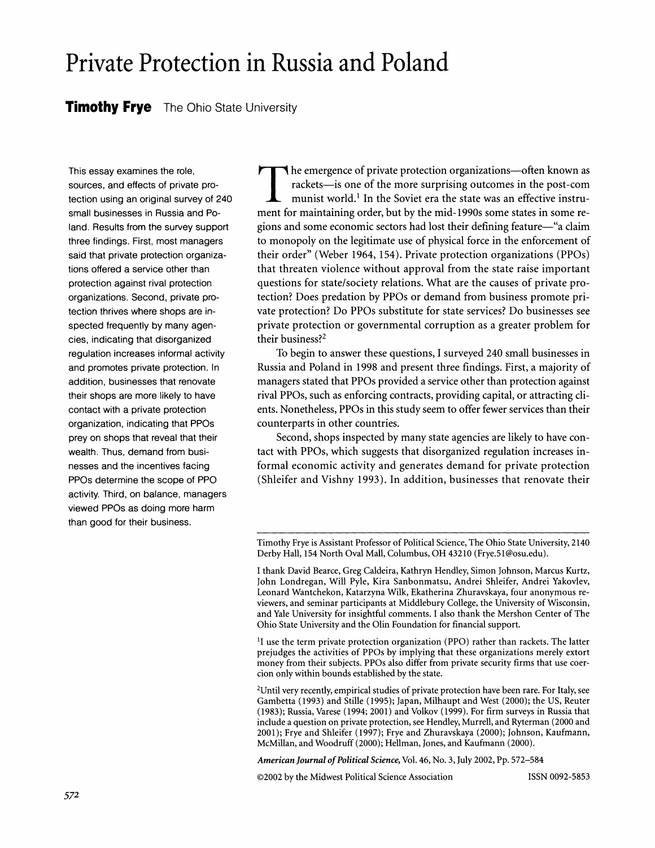# **Private Protection in Russia and Poland**

# **Timothy Frye The Ohio State University**

**This essay examines the role, sources, and effects of private protection using an original survey of 240 small businesses in Russia and Poland. Results from the survey support three findings. First, most managers said that private protection organizations offered a service other than protection against rival protection organizations. Second, private protection thrives where shops are inspected frequently by many agencies, indicating that disorganized regulation increases informal activity and promotes private protection. In addition, businesses that renovate their shops are more likely to have contact with a private protection organization, indicating that PPOs prey on shops that reveal that their wealth. Thus, demand from businesses and the incentives facing PPOs determine the scope of PPO activity. Third, on balance, managers viewed PPOs as doing more harm than good for their business.** 

**1** he emergence of private protection organizations-often known as rackets-is one of the more surprising outcomes in the post-com munist world.<sup>1</sup> In the Soviet era the state was an effective instru**ment for maintaining order, but by the mid-1990s some states in some regions and some economic sectors had lost their defining feature-"a claim to monopoly on the legitimate use of physical force in the enforcement of their order" (Weber 1964, 154). Private protection organizations (PPOs) that threaten violence without approval from the state raise important questions for state/society relations. What are the causes of private protection? Does predation by PPOs or demand from business promote private protection? Do PPOs substitute for state services? Do businesses see private protection or governmental corruption as a greater problem for their business?2** 

**To begin to answer these questions, I surveyed 240 small businesses in Russia and Poland in 1998 and present three findings. First, a majority of managers stated that PPOs provided a service other than protection against rival PPOs, such as enforcing contracts, providing capital, or attracting clients. Nonetheless, PPOs in this study seem to offer fewer services than their counterparts in other countries.** 

**Second, shops inspected by many state agencies are likely to have contact with PPOs, which suggests that disorganized regulation increases informal economic activity and generates demand for private protection (Shleifer and Vishny 1993). In addition, businesses that renovate their** 

**1I use the term private protection organization (PPO) rather than rackets. The latter prejudges the activities of PPOs by implying that these organizations merely extort money from their subjects. PPOs also differ from private security firms that use coercion only within bounds established by the state.** 

**2Until very recently, empirical studies of private protection have been rare. For Italy, see Gambetta (1993) and Stille (1995); Japan, Milhaupt and West (2000); the US, Reuter (1983); Russia, Varese (1994; 2001) and Volkov (1999). For firm surveys in Russia that include a question on private protection, see Hendley, Murrell, and Ryterman (2000 and 2001); Frye and Shleifer (1997); Frye and Zhuravskaya (2000); Johnson, Kaufmann, McMillan, and Woodruff (2000); Hellman, Jones, and Kaufmann (2000).** 

**American Journal of Political Science, Vol. 46, No. 3, July 2002, Pp. 572-584** 

**?2002 by the Midwest Political Science Association ISSN 0092-5853** 

**Timothy Frye is Assistant Professor of Political Science, The Ohio State University, 2140 Derby Hall, 154 North Oval Mall, Columbus, OH 43210 (Frye.51@osu.edu).** 

**I thank David Bearce, Greg Caldeira, Kathryn Hendley, Simon Johnson, Marcus Kurtz, John Londregan, Will Pyle, Kira Sanbonmatsu, Andrei Shleifer, Andrei Yakovlev, Leonard Wantchekon, Katarzyna Wilk, Ekatherina Zhuravskaya, four anonymous reviewers, and seminar participants at Middlebury College, the University of Wisconsin, and Yale University for insightful comments. I also thank the Mershon Center of The Ohio State University and the Olin Foundation for financial support.**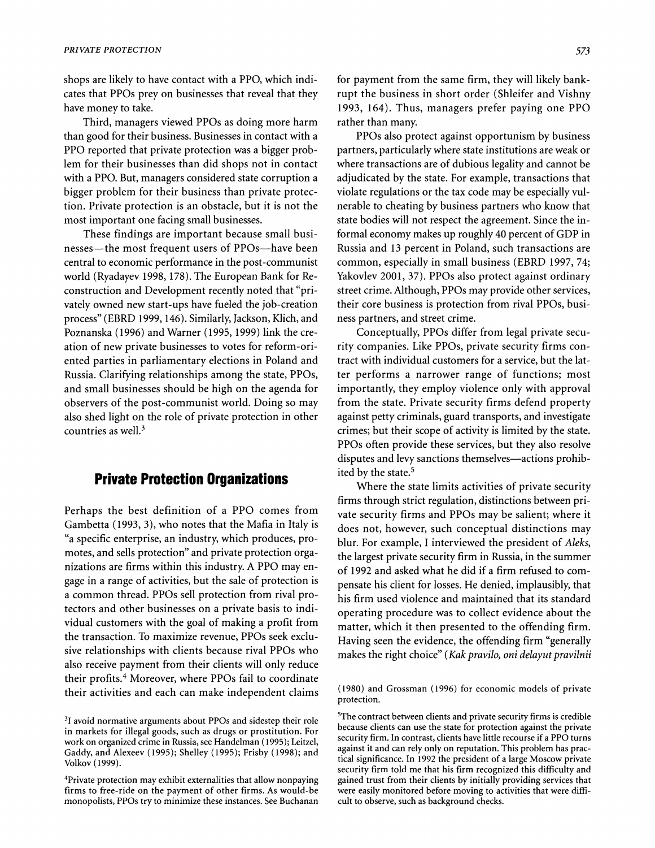**shops are likely to have contact with a PPO, which indicates that PPOs prey on businesses that reveal that they have money to take.** 

**Third, managers viewed PPOs as doing more harm than good for their business. Businesses in contact with a PPO reported that private protection was a bigger problem for their businesses than did shops not in contact with a PPO. But, managers considered state corruption a bigger problem for their business than private protection. Private protection is an obstacle, but it is not the most important one facing small businesses.** 

**These findings are important because small businesses-the most frequent users of PPOs-have been central to economic performance in the post-communist world (Ryadayev 1998, 178). The European Bank for Reconstruction and Development recently noted that "privately owned new start-ups have fueled the job-creation process" (EBRD 1999, 146). Similarly, Jackson, Klich, and Poznanska (1996) and Warner (1995, 1999) link the creation of new private businesses to votes for reform-oriented parties in parliamentary elections in Poland and Russia. Clarifying relationships among the state, PPOs, and small businesses should be high on the agenda for observers of the post-communist world. Doing so may also shed light on the role of private protection in other countries as well.3** 

# **Private Protection Organizations**

**Perhaps the best definition of a PPO comes from Gambetta (1993, 3), who notes that the Mafia in Italy is "a specific enterprise, an industry, which produces, promotes, and sells protection" and private protection organizations are firms within this industry. A PPO may engage in a range of activities, but the sale of protection is a common thread. PPOs sell protection from rival protectors and other businesses on a private basis to individual customers with the goal of making a profit from the transaction. To maximize revenue, PPOs seek exclusive relationships with clients because rival PPOs who also receive payment from their clients will only reduce their profits.4 Moreover, where PPOs fail to coordinate their activities and each can make independent claims** 

**4Private protection may exhibit externalities that allow nonpaying firms to free-ride on the payment of other firms. As would-be monopolists, PPOs try to minimize these instances. See Buchanan** 

**for payment from the same firm, they will likely bankrupt the business in short order (Shleifer and Vishny 1993, 164). Thus, managers prefer paying one PPO rather than many.** 

**PPOs also protect against opportunism by business partners, particularly where state institutions are weak or where transactions are of dubious legality and cannot be adjudicated by the state. For example, transactions that violate regulations or the tax code may be especially vulnerable to cheating by business partners who know that state bodies will not respect the agreement. Since the informal economy makes up roughly 40 percent of GDP in Russia and 13 percent in Poland, such transactions are common, especially in small business (EBRD 1997, 74; Yakovlev 2001, 37). PPOs also protect against ordinary street crime. Although, PPOs may provide other services, their core business is protection from rival PPOs, business partners, and street crime.** 

**Conceptually, PPOs differ from legal private security companies. Like PPOs, private security firms contract with individual customers for a service, but the latter performs a narrower range of functions; most importantly, they employ violence only with approval from the state. Private security firms defend property against petty criminals, guard transports, and investigate crimes; but their scope of activity is limited by the state. PPOs often provide these services, but they also resolve disputes and levy sanctions themselves-actions prohibited by the state.5** 

**Where the state limits activities of private security firms through strict regulation, distinctions between private security firms and PPOs may be salient; where it does not, however, such conceptual distinctions may blur. For example, I interviewed the president of Aleks, the largest private security firm in Russia, in the summer of 1992 and asked what he did if a firm refused to compensate his client for losses. He denied, implausibly, that his firm used violence and maintained that its standard operating procedure was to collect evidence about the matter, which it then presented to the offending firm. Having seen the evidence, the offending firm "generally makes the right choice" (Kak pravilo, oni delayut pravilnii** 

**<sup>3</sup>I avoid normative arguments about PPOs and sidestep their role in markets for illegal goods, such as drugs or prostitution. For work on organized crime in Russia, see Handelman (1995); Leitzel, Gaddy, and Alexeev (1995); Shelley (1995); Frisby (1998); and Volkov (1999).** 

**<sup>(1980)</sup> and Grossman (1996) for economic models of private protection.** 

**SThe contract between clients and private security firms is credible because clients can use the state for protection against the private security firm. In contrast, clients have little recourse if a PPO turns against it and can rely only on reputation. This problem has practical significance. In 1992 the president of a large Moscow private security firm told me that his firm recognized this difficulty and gained trust from their clients by initially providing services that were easily monitored before moving to activities that were difficult to observe, such as background checks.**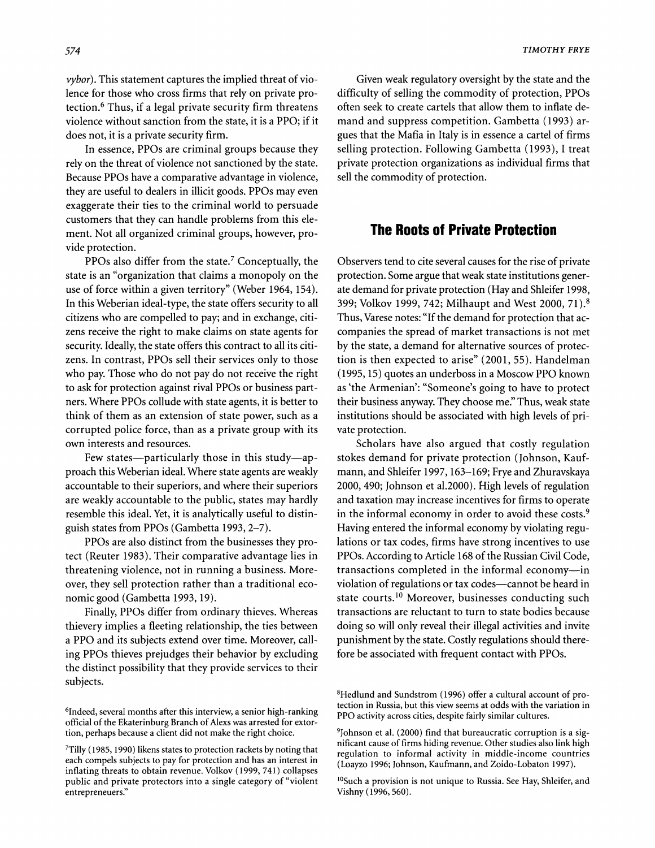**vybor). This statement captures the implied threat of violence for those who cross firms that rely on private protection.6 Thus, if a legal private security firm threatens violence without sanction from the state, it is a PPO; if it does not, it is a private security firm.** 

**In essence, PPOs are criminal groups because they rely on the threat of violence not sanctioned by the state. Because PPOs have a comparative advantage in violence, they are useful to dealers in illicit goods. PPOs may even exaggerate their ties to the criminal world to persuade customers that they can handle problems from this element. Not all organized criminal groups, however, provide protection.** 

**PPOs also differ from the state.7 Conceptually, the state is an "organization that claims a monopoly on the use of force within a given territory" (Weber 1964, 154). In this Weberian ideal-type, the state offers security to all citizens who are compelled to pay; and in exchange, citizens receive the right to make claims on state agents for security. Ideally, the state offers this contract to all its citizens. In contrast, PPOs sell their services only to those who pay. Those who do not pay do not receive the right to ask for protection against rival PPOs or business partners. Where PPOs collude with state agents, it is better to think of them as an extension of state power, such as a corrupted police force, than as a private group with its own interests and resources.** 

Few states—particularly those in this study—ap**proach this Weberian ideal. Where state agents are weakly accountable to their superiors, and where their superiors are weakly accountable to the public, states may hardly resemble this ideal. Yet, it is analytically useful to distinguish states from PPOs (Gambetta 1993, 2-7).** 

**PPOs are also distinct from the businesses they protect (Reuter 1983). Their comparative advantage lies in threatening violence, not in running a business. Moreover, they sell protection rather than a traditional economic good (Gambetta 1993, 19).** 

**Finally, PPOs differ from ordinary thieves. Whereas thievery implies a fleeting relationship, the ties between a PPO and its subjects extend over time. Moreover, calling PPOs thieves prejudges their behavior by excluding the distinct possibility that they provide services to their subjects.** 

**Given weak regulatory oversight by the state and the difficulty of selling the commodity of protection, PPOs often seek to create cartels that allow them to inflate demand and suppress competition. Gambetta (1993) argues that the Mafia in Italy is in essence a cartel of firms selling protection. Following Gambetta (1993), I treat private protection organizations as individual firms that sell the commodity of protection.** 

## **The Roots of Private Protection**

**Observers tend to cite several causes for the rise of private protection. Some argue that weak state institutions generate demand for private protection (Hay and Shleifer 1998, 399; Volkov 1999, 742; Milhaupt and West 2000, 71).8 Thus, Varese notes: "If the demand for protection that accompanies the spread of market transactions is not met by the state, a demand for alternative sources of protection is then expected to arise" (2001, 55). Handelman (1995, 15) quotes an underboss in a Moscow PPO known as 'the Armenian': "Someone's going to have to protect their business anyway. They choose me." Thus, weak state institutions should be associated with high levels of private protection.** 

**Scholars have also argued that costly regulation stokes demand for private protection (Johnson, Kaufmann, and Shleifer 1997, 163-169; Frye and Zhuravskaya 2000, 490; Johnson et al.2000). High levels of regulation and taxation may increase incentives for firms to operate in the informal economy in order to avoid these costs.9 Having entered the informal economy by violating regulations or tax codes, firms have strong incentives to use PPOs. According to Article 168 of the Russian Civil Code, transactions completed in the informal economy-in violation of regulations or tax codes-cannot be heard in state courts.10 Moreover, businesses conducting such transactions are reluctant to turn to state bodies because doing so will only reveal their illegal activities and invite punishment by the state. Costly regulations should therefore be associated with frequent contact with PPOs.** 

**<sup>6</sup>Indeed, several months after this interview, a senior high-ranking official of the Ekaterinburg Branch of Alexs was arrested for extortion, perhaps because a client did not make the right choice.** 

**<sup>7</sup>Tilly (1985, 1990) likens states to protection rackets by noting that each compels subjects to pay for protection and has an interest in inflating threats to obtain revenue. Volkov (1999, 741) collapses public and private protectors into a single category of "violent entrepreneuers."** 

**<sup>8</sup>Hedlund and Sundstrom (1996) offer a cultural account of protection in Russia, but this view seems at odds with the variation in PPO activity across cities, despite fairly similar cultures.** 

**<sup>9</sup>Johnson et al. (2000) find that bureaucratic corruption is a significant cause of firms hiding revenue. Other studies also link high regulation to informal activity in middle-income countries (Loayzo 1996; Johnson, Kaufmann, and Zoido-Lobaton 1997).** 

<sup>&</sup>lt;sup>10</sup>Such a provision is not unique to Russia. See Hay, Shleifer, and **Vishny (1996, 560).**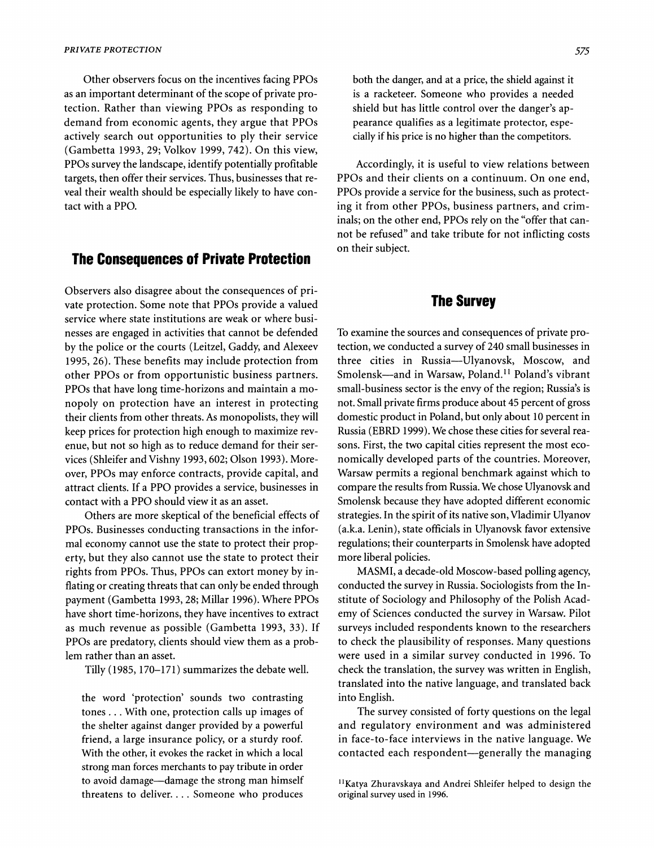**Other observers focus on the incentives facing PPOs as an important determinant of the scope of private protection. Rather than viewing PPOs as responding to demand from economic agents, they argue that PPOs actively search out opportunities to ply their service (Gambetta 1993, 29; Volkov 1999, 742). On this view, PPOs survey the landscape, identify potentially profitable targets, then offer their services. Thus, businesses that reveal their wealth should be especially likely to have contact with a PPO.** 

## **The Consequences of Private Protection**

**Observers also disagree about the consequences of private protection. Some note that PPOs provide a valued service where state institutions are weak or where businesses are engaged in activities that cannot be defended by the police or the courts (Leitzel, Gaddy, and Alexeev 1995, 26). These benefits may include protection from other PPOs or from opportunistic business partners. PPOs that have long time-horizons and maintain a monopoly on protection have an interest in protecting their clients from other threats. As monopolists, they will keep prices for protection high enough to maximize revenue, but not so high as to reduce demand for their services (Shleifer and Vishny 1993, 602; Olson 1993). Moreover, PPOs may enforce contracts, provide capital, and attract clients. If a PPO provides a service, businesses in contact with a PPO should view it as an asset.** 

**Others are more skeptical of the beneficial effects of PPOs. Businesses conducting transactions in the informal economy cannot use the state to protect their property, but they also cannot use the state to protect their rights from PPOs. Thus, PPOs can extort money by inflating or creating threats that can only be ended through payment (Gambetta 1993, 28; Millar 1996). Where PPOs have short time-horizons, they have incentives to extract as much revenue as possible (Gambetta 1993, 33). If PPOs are predatory, clients should view them as a problem rather than an asset.** 

**Tilly (1985, 170-171) summarizes the debate well.** 

**the word 'protection' sounds two contrasting tones . . .With one, protection calls up images of the shelter against danger provided by a powerful friend, a large insurance policy, or a sturdy roof. With the other, it evokes the racket in which a local strong man forces merchants to pay tribute in order to avoid damage-damage the strong man himself threatens to deliver.... Someone who produces** 

**both the danger, and at a price, the shield against it is a racketeer. Someone who provides a needed shield but has little control over the danger's appearance qualifies as a legitimate protector, especially if his price is no higher than the competitors.** 

**Accordingly, it is useful to view relations between PPOs and their clients on a continuum. On one end, PPOs provide a service for the business, such as protecting it from other PPOs, business partners, and criminals; on the other end, PPOs rely on the "offer that cannot be refused" and take tribute for not inflicting costs on their subject.** 

## **The Survey**

**To examine the sources and consequences of private protection, we conducted a survey of 240 small businesses in three cities in Russia-Ulyanovsk, Moscow, and Smolensk-and in Warsaw, Poland.1l Poland's vibrant small-business sector is the envy of the region; Russia's is not. Small private firms produce about 45 percent of gross domestic product in Poland, but only about 10 percent in Russia (EBRD 1999). We chose these cities for several reasons. First, the two capital cities represent the most economically developed parts of the countries. Moreover, Warsaw permits a regional benchmark against which to compare the results from Russia. We chose Ulyanovsk and Smolensk because they have adopted different economic strategies. In the spirit of its native son, Vladimir Ulyanov (a.k.a. Lenin), state officials in Ulyanovsk favor extensive regulations; their counterparts in Smolensk have adopted more liberal policies.** 

**MASMI, a decade-old Moscow-based polling agency, conducted the survey in Russia. Sociologists from the Institute of Sociology and Philosophy of the Polish Academy of Sciences conducted the survey in Warsaw. Pilot surveys included respondents known to the researchers to check the plausibility of responses. Many questions were used in a similar survey conducted in 1996. To check the translation, the survey was written in English, translated into the native language, and translated back into English.** 

**The survey consisted of forty questions on the legal and regulatory environment and was administered in face-to-face interviews in the native language. We contacted each respondent-generally the managing** 

<sup>&</sup>lt;sup>11</sup> Katya Zhuravskaya and Andrei Shleifer helped to design the **original survey used in 1996.**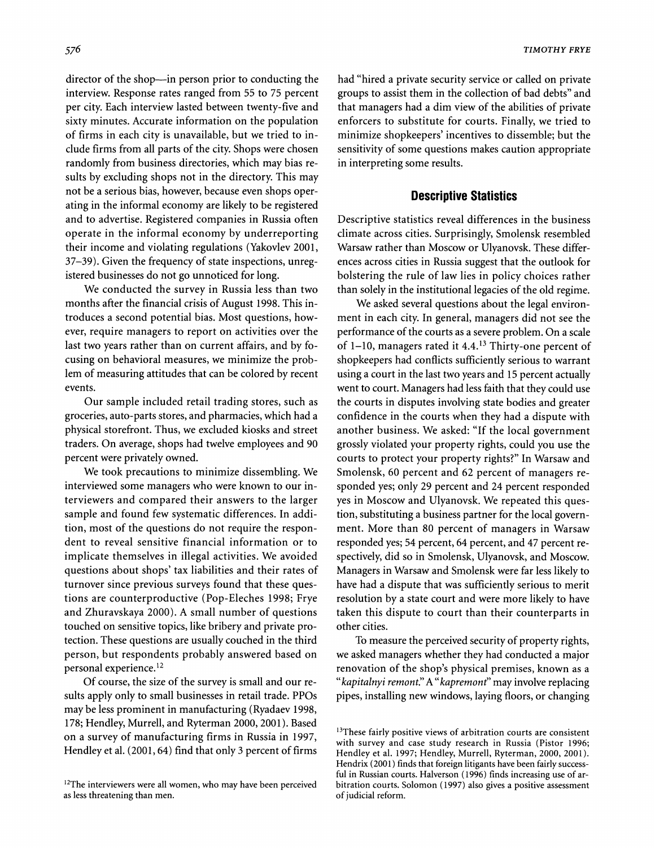**director of the shop-in person prior to conducting the interview. Response rates ranged from 55 to 75 percent per city. Each interview lasted between twenty-five and sixty minutes. Accurate information on the population of firms in each city is unavailable, but we tried to include firms from all parts of the city. Shops were chosen randomly from business directories, which may bias results by excluding shops not in the directory. This may not be a serious bias, however, because even shops operating in the informal economy are likely to be registered and to advertise. Registered companies in Russia often operate in the informal economy by underreporting their income and violating regulations (Yakovlev 2001, 37-39). Given the frequency of state inspections, unregistered businesses do not go unnoticed for long.** 

**We conducted the survey in Russia less than two months after the financial crisis of August 1998. This introduces a second potential bias. Most questions, however, require managers to report on activities over the last two years rather than on current affairs, and by focusing on behavioral measures, we minimize the problem of measuring attitudes that can be colored by recent events.** 

**Our sample included retail trading stores, such as groceries, auto-parts stores, and pharmacies, which had a physical storefront. Thus, we excluded kiosks and street traders. On average, shops had twelve employees and 90 percent were privately owned.** 

**We took precautions to minimize dissembling. We interviewed some managers who were known to our interviewers and compared their answers to the larger sample and found few systematic differences. In addition, most of the questions do not require the respondent to reveal sensitive financial information or to implicate themselves in illegal activities. We avoided questions about shops' tax liabilities and their rates of turnover since previous surveys found that these questions are counterproductive (Pop-Eleches 1998; Frye and Zhuravskaya 2000). A small number of questions touched on sensitive topics, like bribery and private protection. These questions are usually couched in the third person, but respondents probably answered based on personal experience.'2** 

**Of course, the size of the survey is small and our results apply only to small businesses in retail trade. PPOs may be less prominent in manufacturing (Ryadaev 1998, 178; Hendley, Murrell, and Ryterman 2000, 2001). Based on a survey of manufacturing firms in Russia in 1997, Hendley et al. (2001, 64) find that only 3 percent of firms** 

**had "hired a private security service or called on private groups to assist them in the collection of bad debts" and that managers had a dim view of the abilities of private enforcers to substitute for courts. Finally, we tried to minimize shopkeepers' incentives to dissemble; but the sensitivity of some questions makes caution appropriate in interpreting some results.** 

#### **Descriptive Statistics**

**Descriptive statistics reveal differences in the business climate across cities. Surprisingly, Smolensk resembled Warsaw rather than Moscow or Ulyanovsk. These differences across cities in Russia suggest that the outlook for bolstering the rule of law lies in policy choices rather than solely in the institutional legacies of the old regime.** 

**We asked several questions about the legal environment in each city. In general, managers did not see the performance of the courts as a severe problem. On a scale of 1-10, managers rated it 4.4.13 Thirty-one percent of shopkeepers had conflicts sufficiently serious to warrant using a court in the last two years and 15 percent actually went to court. Managers had less faith that they could use the courts in disputes involving state bodies and greater confidence in the courts when they had a dispute with another business. We asked: "If the local government grossly violated your property rights, could you use the courts to protect your property rights?" In Warsaw and Smolensk, 60 percent and 62 percent of managers responded yes; only 29 percent and 24 percent responded yes in Moscow and Ulyanovsk. We repeated this question, substituting a business partner for the local government. More than 80 percent of managers in Warsaw responded yes; 54 percent, 64 percent, and 47 percent respectively, did so in Smolensk, Ulyanovsk, and Moscow. Managers in Warsaw and Smolensk were far less likely to have had a dispute that was sufficiently serious to merit resolution by a state court and were more likely to have taken this dispute to court than their counterparts in other cities.** 

**To measure the perceived security of property rights, we asked managers whether they had conducted a major renovation of the shop's physical premises, known as a "kapitalnyi remont." A "kapremont" may involve replacing pipes, installing new windows, laying floors, or changing** 

<sup>&</sup>lt;sup>12</sup>The interviewers were all women, who may have been perceived **as less threatening than men.** 

**<sup>&#</sup>x27;3These fairly positive views of arbitration courts are consistent with survey and case study research in Russia (Pistor 1996; Hendley et al. 1997; Hendley, Murrell, Ryterman, 2000, 2001). Hendrix (2001) finds that foreign litigants have been fairly successful in Russian courts. Halverson (1996) finds increasing use of arbitration courts. Solomon (1997) also gives a positive assessment of judicial reform.**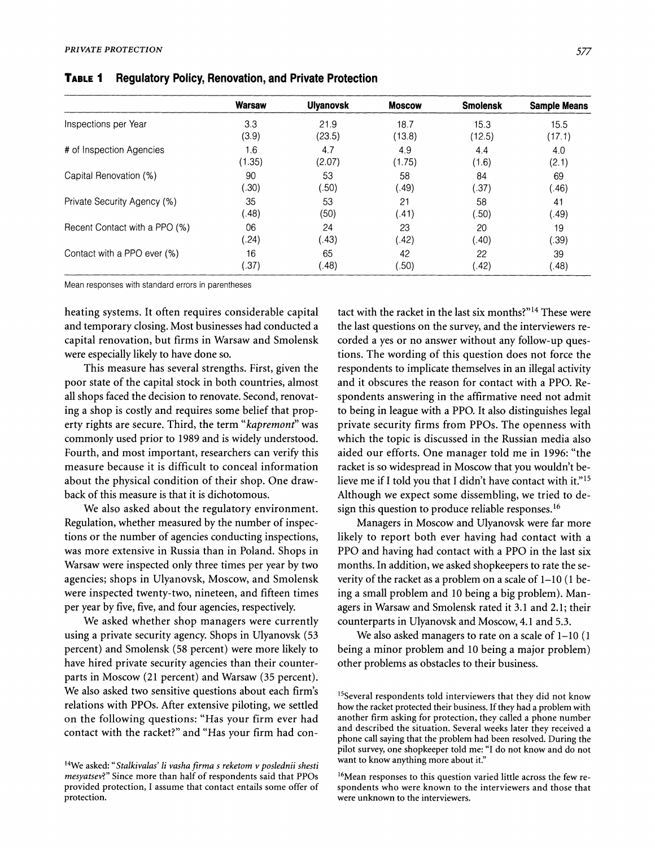|                               | Warsaw | <b>Ulyanovsk</b> | <b>Moscow</b> | <b>Smolensk</b> | <b>Sample Means</b> |
|-------------------------------|--------|------------------|---------------|-----------------|---------------------|
| Inspections per Year          | 3.3    | 21.9             | 18.7          | 15.3            | 15.5                |
|                               | (3.9)  | (23.5)           | (13.8)        | (12.5)          | (17.1)              |
| # of Inspection Agencies      | 1.6    | 4.7              | 4.9           | 4.4             | 4.0                 |
|                               | (1.35) | (2.07)           | (1.75)        | (1.6)           | (2.1)               |
| Capital Renovation (%)        | 90     | 53               | 58            | 84              | 69                  |
|                               | .30)   | .50)             | (.49)         | (.37)           | (0.46)              |
| Private Security Agency (%)   | 35     | 53               | 21            | 58              | 41                  |
|                               | (.48)  | (50)             | (.41)         | .50)            | (.49)               |
| Recent Contact with a PPO (%) | 06     | 24               | 23            | 20              | 19                  |
|                               | (.24)  | (.43)            | (.42)         | (.40)           | .39)                |
| Contact with a PPO ever (%)   | 16     | 65               | 42            | 22              | 39                  |
|                               | .37)   | (0.48)           | (50)          | 42).            | $\left( .48\right)$ |

**TABLE I Regulatory Policy, Renovation, and Private Protection** 

**Mean responses with standard errors in parentheses** 

**heating systems. It often requires considerable capital and temporary closing. Most businesses had conducted a capital renovation, but firms in Warsaw and Smolensk were especially likely to have done so.** 

**This measure has several strengths. First, given the poor state of the capital stock in both countries, almost all shops faced the decision to renovate. Second, renovating a shop is costly and requires some belief that property rights are secure. Third, the term "kapremont" was commonly used prior to 1989 and is widely understood. Fourth, and most important, researchers can verify this measure because it is difficult to conceal information about the physical condition of their shop. One drawback of this measure is that it is dichotomous.** 

**We also asked about the regulatory environment. Regulation, whether measured by the number of inspections or the number of agencies conducting inspections, was more extensive in Russia than in Poland. Shops in Warsaw were inspected only three times per year by two agencies; shops in Ulyanovsk, Moscow, and Smolensk were inspected twenty-two, nineteen, and fifteen times per year by five, five, and four agencies, respectively.** 

**We asked whether shop managers were currently using a private security agency. Shops in Ulyanovsk (53 percent) and Smolensk (58 percent) were more likely to have hired private security agencies than their counterparts in Moscow (21 percent) and Warsaw (35 percent). We also asked two sensitive questions about each firm's relations with PPOs. After extensive piloting, we settled on the following questions: "Has your firm ever had contact with the racket?" and "Has your firm had con-** **tact with the racket in the last six months?"14 These were the last questions on the survey, and the interviewers recorded a yes or no answer without any follow-up questions. The wording of this question does not force the respondents to implicate themselves in an illegal activity and it obscures the reason for contact with a PPO. Respondents answering in the affirmative need not admit to being in league with a PPO. It also distinguishes legal private security firms from PPOs. The openness with which the topic is discussed in the Russian media also aided our efforts. One manager told me in 1996: "the racket is so widespread in Moscow that you wouldn't believe me if I told you that I didn't have contact with it."15 Although we expect some dissembling, we tried to design this question to produce reliable responses.16** 

**Managers in Moscow and Ulyanovsk were far more likely to report both ever having had contact with a PPO and having had contact with a PPO in the last six months. In addition, we asked shopkeepers to rate the severity of the racket as a problem on a scale of 1-10 (1 being a small problem and 10 being a big problem). Managers in Warsaw and Smolensk rated it 3.1 and 2.1; their counterparts in Ulyanovsk and Moscow, 4.1 and 5.3.** 

**We also asked managers to rate on a scale of 1-10 (1 being a minor problem and 10 being a major problem) other problems as obstacles to their business.** 

**<sup>14</sup>We asked: "Stalkivalas' li vasha firma s reketom v poslednii shesti mesyatsev?" Since more than half of respondents said that PPOs provided protection, I assume that contact entails some offer of protection.** 

**<sup>15</sup>Several respondents told interviewers that they did not know how the racket protected their business. If they had a problem with another firm asking for protection, they called a phone number and described the situation. Several weeks later they received a phone call saying that the problem had been resolved. During the pilot survey, one shopkeeper told me: "I do not know and do not want to know anything more about it."** 

**<sup>16</sup>Mean responses to this question varied little across the few respondents who were known to the interviewers and those that were unknown to the interviewers.**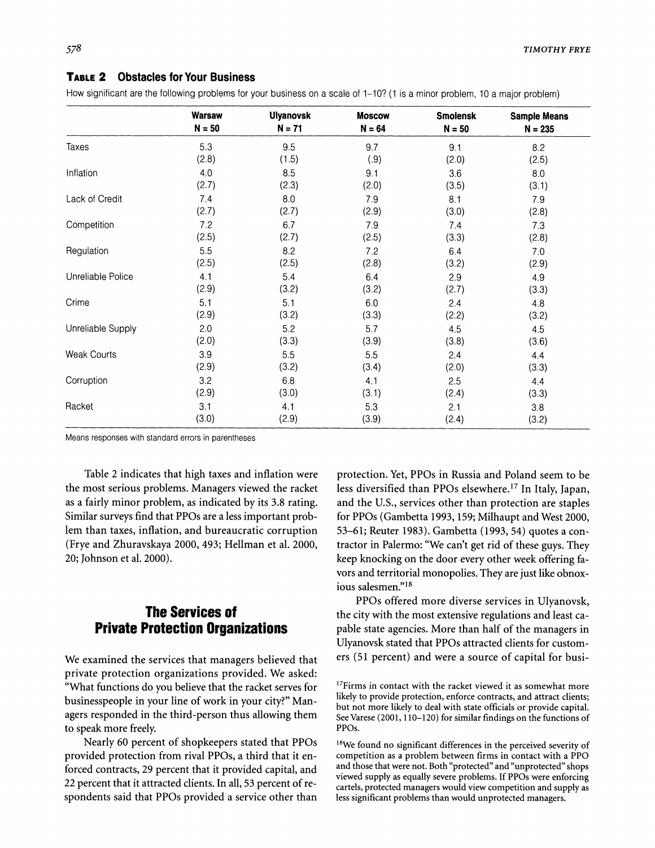#### **TABLE 2 Obstacles for Your Business**

**How significant are the following problems for your business on a scale of 1-10? (1 is a minor problem, 10 a major problem)** 

|                    | <b>Warsaw</b> | <b>Ulyanovsk</b> | <b>Moscow</b> | <b>Smolensk</b> | <b>Sample Means</b> |
|--------------------|---------------|------------------|---------------|-----------------|---------------------|
|                    | $N = 50$      | $N = 71$         | $N = 64$      | $N = 50$        | $N = 235$           |
| Taxes              | 5.3           | 9.5              | 9.7           | 9.1             | 8.2                 |
|                    | (2.8)         | (1.5)            | (.9)          | (2.0)           | (2.5)               |
| Inflation          | 4.0           | 8.5              | 9.1           | 3.6             | 8.0                 |
|                    | (2.7)         | (2.3)            | (2.0)         | (3.5)           | (3.1)               |
| Lack of Credit     | 7.4           | 8.0              | 7.9           | 8.1             | 7.9                 |
|                    | (2.7)         | (2.7)            | (2.9)         | (3.0)           | (2.8)               |
| Competition        | 7.2           | 6.7              | 79            | 7.4             | 7.3                 |
|                    | (2.5)         | (2.7)            | (2.5)         | (3.3)           | (2.8)               |
| Regulation         | 5.5           | 8.2              | 7.2           | 6.4             | 7.0                 |
|                    | (2.5)         | (2.5)            | (2.8)         | (3.2)           | (2.9)               |
| Unreliable Police  | 4.1           | 5.4              | 6.4           | 2.9             | 4.9                 |
|                    | (2.9)         | (3.2)            | (3.2)         | (2.7)           | (3.3)               |
| Crime              | 5.1           | 5.1              | 6.0           | 2.4             | 4.8                 |
|                    | (2.9)         | (3.2)            | (3.3)         | (2.2)           | (3.2)               |
| Unreliable Supply  | 2.0           | 5.2              | 5.7           | 4.5             | 4.5                 |
|                    | (2.0)         | (3.3)            | (3.9)         | (3.8)           | (3.6)               |
| <b>Weak Courts</b> | 3.9           | 5.5              | 5.5           | 2.4             | 4.4                 |
|                    | (2.9)         | (3.2)            | (3.4)         | (2.0)           | (3.3)               |
| Corruption         | 3.2           | 6.8              | 4.1           | 2.5             | 4.4                 |
|                    | (2.9)         | (3.0)            | (3.1)         | (2.4)           | (3.3)               |
| Racket             | 3.1           | 4.1              | 5.3           | 2.1             | 3.8                 |
|                    | (3.0)         | (2.9)            | (3.9)         | (2.4)           | (3.2)               |

**Means responses with standard errors in parentheses** 

**Table 2 indicates that high taxes and inflation were the most serious problems. Managers viewed the racket as a fairly minor problem, as indicated by its 3.8 rating. Similar surveys find that PPOs are a less important problem than taxes, inflation, and bureaucratic corruption (Frye and Zhuravskaya 2000, 493; Hellman et al. 2000, 20; Johnson et al. 2000).** 

# **The Services of Private Protection Organizations**

**We examined the services that managers believed that private protection organizations provided. We asked: "What functions do you believe that the racket serves for businesspeople in your line of work in your city?" Managers responded in the third-person thus allowing them to speak more freely.** 

**Nearly 60 percent of shopkeepers stated that PPOs provided protection from rival PPOs, a third that it enforced contracts, 29 percent that it provided capital, and 22 percent that it attracted clients. In all, 53 percent of respondents said that PPOs provided a service other than**  **protection. Yet, PPOs in Russia and Poland seem to be less diversified than PPOs elsewhere.17 In Italy, Japan, and the U.S., services other than protection are staples for PPOs (Gambetta 1993, 159; Milhaupt and West 2000, 53-61; Reuter 1983). Gambetta (1993, 54) quotes a contractor in Palermo: "We can't get rid of these guys. They keep knocking on the door every other week offering favors and territorial monopolies. They are just like obnoxious salesmen."18** 

**PPOs offered more diverse services in Ulyanovsk, the city with the most extensive regulations and least capable state agencies. More than half of the managers in Ulyanovsk stated that PPOs attracted clients for customers (51 percent) and were a source of capital for busi-**

**<sup>17</sup>Firms in contact with the racket viewed it as somewhat more likely to provide protection, enforce contracts, and attract clients; but not more likely to deal with state officials or provide capital. See Varese (2001, 110-120) for similar findings on the functions of PPOs.** 

**<sup>18</sup>We found no significant differences in the perceived severity of competition as a problem between firms in contact with a PPO and those that were not. Both "protected" and "unprotected" shops viewed supply as equally severe problems. If PPOs were enforcing cartels, protected managers would view competition and supply as less significant problems than would unprotected managers.**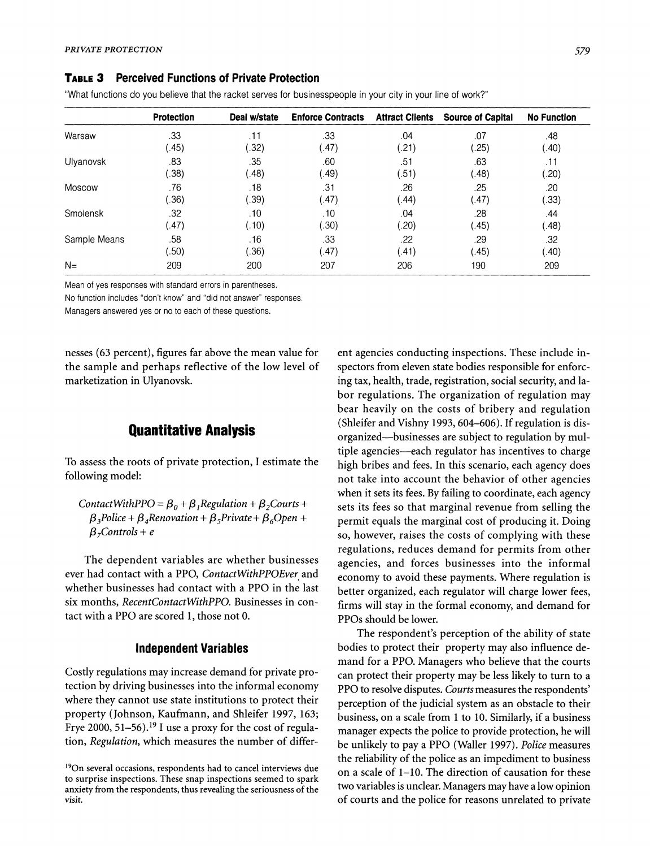#### **TABLE 3 Perceived Functions of Private Protection**

**"What functions do you believe that the racket serves for businesspeople in your city in your line of work?"** 

|              | <b>Protection</b> | Deal w/state          | <b>Enforce Contracts</b> | <b>Attract Clients</b> | <b>Source of Capital</b> | <b>No Function</b> |
|--------------|-------------------|-----------------------|--------------------------|------------------------|--------------------------|--------------------|
| Warsaw       | .33               | .11                   | .33                      | .04                    | .07                      | .48                |
|              | (45)              | .32)                  | .47)                     | (.21)                  | .25)                     | .40)               |
| Ulvanovsk    | .83               | .35                   | .60                      | .51                    | .63                      | .11                |
|              | .38)              | (.48)                 | .49)                     | (.51)                  | (0.48)                   | .20)               |
| Moscow       | .76               | .18                   | .31                      | .26                    | .25                      | .20                |
|              | .36)              | (.39)                 | (47)                     | (.44)                  | (47)                     | .33)               |
| Smolensk     | .32               | .10                   | .10                      | .04                    | .28                      | .44                |
|              | (47)              | (.10)                 | .30)                     | .20)                   | (0.45)                   | (0.48)             |
| Sample Means | .58               | .16                   | .33                      | .22                    | .29                      | .32                |
|              | .50)              | $\langle .36 \rangle$ | (47)                     | (41)                   | (45)                     | (.40)              |
| $N =$        | 209               | 200                   | 207                      | 206                    | 190                      | 209                |

**Mean of yes responses with standard errors in parentheses.** 

**No function includes "don't know" and "did not answer" responses.** 

**Managers answered yes or no to each of these questions.** 

**nesses (63 percent), figures far above the mean value for the sample and perhaps reflective of the low level of marketization in Ulyanovsk.** 

## **Quantitative Analysis**

**To assess the roots of private protection, I estimate the following model:** 

ContactWithPPO =  $\beta_0 + \beta_1$ Regulation +  $\beta_2$ Courts +  $\beta_3$ Police +  $\beta_4$ Renovation +  $\beta_5$ Private +  $\beta_6$ Open +  $\beta$ <sub>7</sub>Controls + e

**The dependent variables are whether businesses ever had contact with a PPO, ContactWithPPOEver and whether businesses had contact with a PPO in the last six months, RecentContactWithPPO. Businesses in contact with a PPO are scored 1, those not 0.** 

#### **Independent Variables**

**Costly regulations may increase demand for private protection by driving businesses into the informal economy where they cannot use state institutions to protect their property (Johnson, Kaufmann, and Shleifer 1997, 163; Frye 2000, 51-56).19 I use a proxy for the cost of regulation, Regulation, which measures the number of differ-** **ent agencies conducting inspections. These include inspectors from eleven state bodies responsible for enforcing tax, health, trade, registration, social security, and labor regulations. The organization of regulation may bear heavily on the costs of bribery and regulation (Shleifer and Vishny 1993, 604-606). If regulation is disorganized-businesses are subject to regulation by multiple agencies-each regulator has incentives to charge high bribes and fees. In this scenario, each agency does not take into account the behavior of other agencies when it sets its fees. By failing to coordinate, each agency sets its fees so that marginal revenue from selling the permit equals the marginal cost of producing it. Doing so, however, raises the costs of complying with these regulations, reduces demand for permits from other agencies, and forces businesses into the informal economy to avoid these payments. Where regulation is better organized, each regulator will charge lower fees, firms will stay in the formal economy, and demand for PPOs should be lower.** 

**The respondent's perception of the ability of state bodies to protect their property may also influence demand for a PPO. Managers who believe that the courts can protect their property may be less likely to turn to a PPO to resolve disputes. Courts measures the respondents' perception of the judicial system as an obstacle to their business, on a scale from 1 to 10. Similarly, if a business manager expects the police to provide protection, he will be unlikely to pay a PPO (Waller 1997). Police measures the reliability of the police as an impediment to business on a scale of 1-10. The direction of causation for these two variables is unclear. Managers may have a low opinion of courts and the police for reasons unrelated to private** 

**<sup>190</sup>n several occasions, respondents had to cancel interviews due to surprise inspections. These snap inspections seemed to spark anxiety from the respondents, thus revealing the seriousness of the visit.**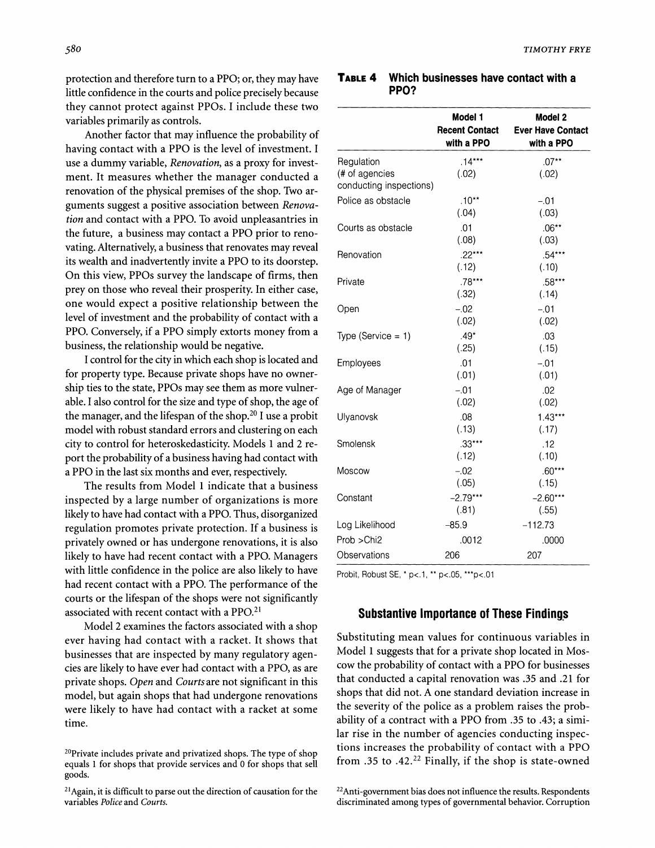**protection and therefore turn to a PPO; or, they may have little confidence in the courts and police precisely because they cannot protect against PPOs. I include these two variables primarily as controls.** 

**Another factor that may influence the probability of having contact with a PPO is the level of investment. I use a dummy variable, Renovation, as a proxy for investment. It measures whether the manager conducted a renovation of the physical premises of the shop. Two arguments suggest a positive association between Renovation and contact with a PPO. To avoid unpleasantries in the future, a business may contact a PPO prior to renovating. Alternatively, a business that renovates may reveal its wealth and inadvertently invite a PPO to its doorstep. On this view, PPOs survey the landscape of firms, then prey on those who reveal their prosperity. In either case, one would expect a positive relationship between the level of investment and the probability of contact with a PPO. Conversely, if a PPO simply extorts money from a business, the relationship would be negative.** 

**I control for the city in which each shop is located and for property type. Because private shops have no ownership ties to the state, PPOs may see them as more vulnerable. I also control for the size and type of shop, the age of the manager, and the lifespan of the shop.20 I use a probit model with robust standard errors and clustering on each city to control for heteroskedasticity. Models 1 and 2 report the probability of a business having had contact with a PPO in the last six months and ever, respectively.** 

**The results from Model 1 indicate that a business inspected by a large number of organizations is more likely to have had contact with a PPO. Thus, disorganized regulation promotes private protection. If a business is privately owned or has undergone renovations, it is also likely to have had recent contact with a PPO. Managers with little confidence in the police are also likely to have had recent contact with a PPO. The performance of the courts or the lifespan of the shops were not significantly associated with recent contact with a PPO.21** 

**Model 2 examines the factors associated with a shop ever having had contact with a racket. It shows that businesses that are inspected by many regulatory agencies are likely to have ever had contact with a PPO, as are private shops. Open and Courts are not significant in this model, but again shops that had undergone renovations were likely to have had contact with a racket at some time.** 

| <b>TABLE 4</b> Which businesses have contact with a |
|-----------------------------------------------------|
| PPO?                                                |

|                                           | Model 1<br><b>Recent Contact</b><br>with a PPO | Model 2<br><b>Ever Have Contact</b><br>with a PPO |
|-------------------------------------------|------------------------------------------------|---------------------------------------------------|
| Regulation                                | $.14***$                                       | $.07**$                                           |
| (# of agencies<br>conducting inspections) | (.02)                                          | (.02)                                             |
| Police as obstacle                        | $.10**$<br>(.04)                               | $-.01$<br>(.03)                                   |
| Courts as obstacle                        | .01<br>(.08)                                   | $.06***$<br>(.03)                                 |
| Renovation                                | $22***$<br>(.12)                               | .54***<br>(.10)                                   |
| Private                                   | $.78***$<br>(.32)                              | .58***<br>(.14)                                   |
| Open                                      | $-.02$<br>(.02)                                | $-01$<br>(.02)                                    |
| Type (Service $= 1$ )                     | $.49*$<br>(.25)                                | .03<br>(.15)                                      |
| Employees                                 | .01<br>(.01)                                   | $-01$<br>(.01)                                    |
| Age of Manager                            | $-.01$<br>(.02)                                | .02<br>(.02)                                      |
| Ulyanovsk                                 | .08<br>(.13)                                   | $1.43***$<br>(.17)                                |
| Smolensk                                  | $.33***$<br>(.12)                              | .12<br>(.10)                                      |
| Moscow                                    | $-02$<br>(.05)                                 | $.60***$<br>(.15)                                 |
| Constant                                  | $-2.79***$<br>(.81)                            | $-2.60***$<br>(.55)                               |
| Log Likelihood                            | $-85.9$                                        | $-112.73$                                         |
| Prob >Chi2                                | .0012                                          | .0000                                             |
| Observations                              | 206                                            | 207                                               |

**Probit, Robust SE, \* p<.1, \*\* p<.05, \*\*\*p<.01** 

#### **Substantive Importance of These Findings**

**Substituting mean values for continuous variables in Model 1 suggests that for a private shop located in Moscow the probability of contact with a PPO for businesses that conducted a capital renovation was .35 and .21 for shops that did not. A one standard deviation increase in the severity of the police as a problem raises the probability of a contract with a PPO from .35 to .43; a similar rise in the number of agencies conducting inspections increases the probability of contact with a PPO from .35 to .42.22 Finally, if the shop is state-owned** 

**22Anti-government bias does not influence the results. Respondents discriminated among types of governmental behavior. Corruption** 

**<sup>20</sup>Private includes private and privatized shops. The type of shop equals 1 for shops that provide services and 0 for shops that sell goods.** 

**<sup>21</sup>Again, it is difficult to parse out the direction of causation for the variables Police and Courts.**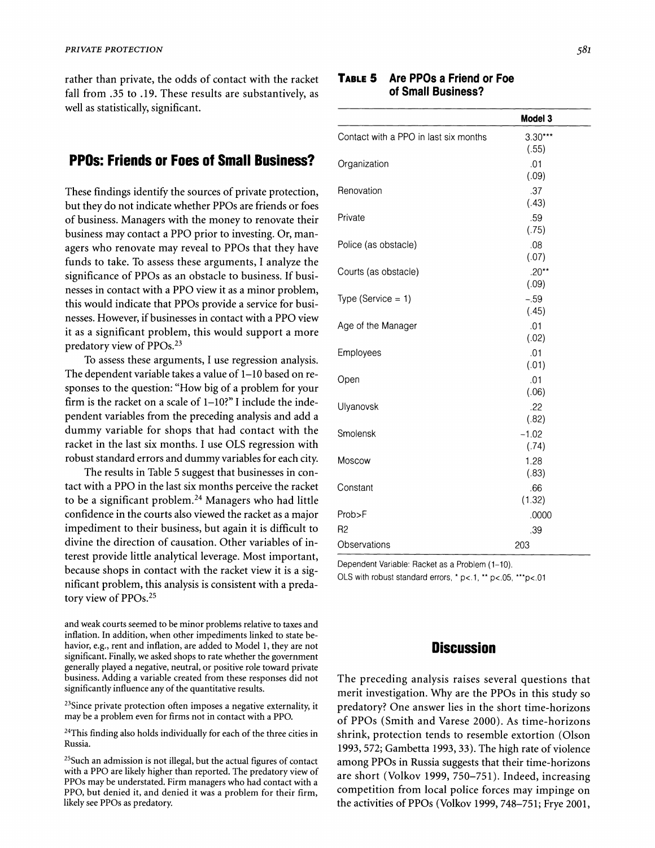**rather than private, the odds of contact with the racket fall from .35 to .19. These results are substantively, as well as statistically, significant.** 

## **PPOs: Friends or Foes of Small Business?**

**These findings identify the sources of private protection, but they do not indicate whether PPOs are friends or foes of business. Managers with the money to renovate their business may contact a PPO prior to investing. Or, managers who renovate may reveal to PPOs that they have funds to take. To assess these arguments, I analyze the significance of PPOs as an obstacle to business. If businesses in contact with a PPO view it as a minor problem, this would indicate that PPOs provide a service for businesses. However, if businesses in contact with a PPO view it as a significant problem, this would support a more predatory view of PPOs.23** 

**To assess these arguments, I use regression analysis. The dependent variable takes a value of 1-10 based on responses to the question: "How big of a problem for your firm is the racket on a scale of 1-10?" I include the independent variables from the preceding analysis and add a dummy variable for shops that had contact with the racket in the last six months. I use OLS regression with robust standard errors and dummy variables for each city.** 

**The results in Table 5 suggest that businesses in contact with a PPO in the last six months perceive the racket to be a significant problem.24 Managers who had little confidence in the courts also viewed the racket as a major impediment to their business, but again it is difficult to divine the direction of causation. Other variables of interest provide little analytical leverage. Most important, because shops in contact with the racket view it is a significant problem, this analysis is consistent with a predatory view of PPOs.25** 

**and weak courts seemed to be minor problems relative to taxes and inflation. In addition, when other impediments linked to state behavior, e.g., rent and inflation, are added to Model 1, they are not significant. Finally, we asked shops to rate whether the government generally played a negative, neutral, or positive role toward private business. Adding a variable created from these responses did not significantly influence any of the quantitative results.** 

**23Since private protection often imposes a negative externality, it may be a problem even for firms not in contact with a PPO.** 

**24This finding also holds individually for each of the three cities in Russia.** 

**25Such an admission is not illegal, but the actual figures of contact with a PPO are likely higher than reported. The predatory view of PPOs may be understated. Firm managers who had contact with a PPO, but denied it, and denied it was a problem for their firm, likely see PPOs as predatory.** 

#### **TABLE 5 Are PPOs a Friend or Foe of Small Business?**

|                                       | Model 3       |
|---------------------------------------|---------------|
| Contact with a PPO in last six months | $3.30***$     |
|                                       | (.55)         |
| Organization                          | .01           |
|                                       | (.09)         |
| Renovation                            | .37           |
|                                       | (.43)         |
| Private                               | .59           |
|                                       | (.75)         |
| Police (as obstacle)                  | .08           |
|                                       | (.07)         |
| Courts (as obstacle)                  | $.20**$       |
|                                       | (.09)         |
| Type (Service $= 1$ )                 | $-.59$        |
|                                       | (.45)         |
| Age of the Manager                    | .01           |
|                                       | (.02)         |
| Employees                             | .01           |
|                                       | (.01)         |
| Open                                  | .01           |
|                                       | (.06)         |
| Ulyanovsk                             | .22           |
|                                       | (.82)         |
| Smolensk                              | $-1.02$       |
|                                       | (.74)         |
| Moscow                                | 1.28          |
|                                       | (.83)         |
| Constant                              | .66<br>(1.32) |
|                                       |               |
| Prob>F                                | .0000         |
| R <sub>2</sub>                        | .39           |
| Observations                          | 203           |

**Dependent Variable: Racket as a Problem (1-10).** 

OLS with robust standard errors, \* p<.1, \*\* p<.05, \*\*\*p<.01

## **Discussion**

**The preceding analysis raises several questions that merit investigation. Why are the PPOs in this study so predatory? One answer lies in the short time-horizons of PPOs (Smith and Varese 2000). As time-horizons shrink, protection tends to resemble extortion (Olson 1993, 572; Gambetta 1993, 33). The high rate of violence among PPOs in Russia suggests that their time-horizons are short (Volkov 1999, 750-751). Indeed, increasing competition from local police forces may impinge on the activities of PPOs (Volkov 1999, 748-751; Frye 2001,**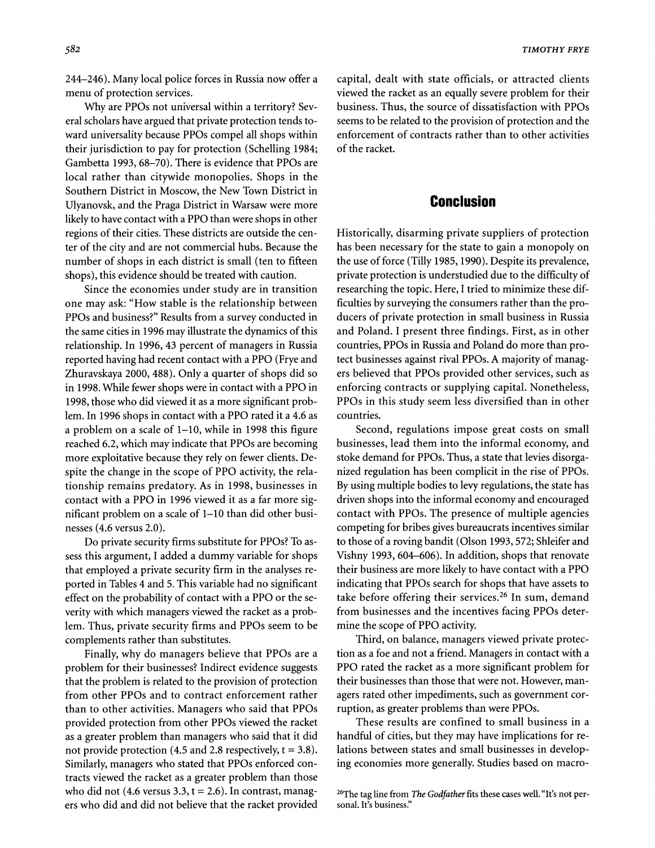**244-246). Many local police forces in Russia now offer a menu of protection services.** 

**Why are PPOs not universal within a territory? Several scholars have argued that private protection tends toward universality because PPOs compel all shops within their jurisdiction to pay for protection (Schelling 1984; Gambetta 1993, 68-70). There is evidence that PPOs are local rather than citywide monopolies. Shops in the Southern District in Moscow, the New Town District in Ulyanovsk, and the Praga District in Warsaw were more likely to have contact with a PPO than were shops in other regions of their cities. These districts are outside the center of the city and are not commercial hubs. Because the number of shops in each district is small (ten to fifteen shops), this evidence should be treated with caution.** 

**Since the economies under study are in transition one may ask: "How stable is the relationship between PPOs and business?" Results from a survey conducted in the same cities in 1996 may illustrate the dynamics of this relationship. In 1996, 43 percent of managers in Russia reported having had recent contact with a PPO (Frye and Zhuravskaya 2000, 488). Only a quarter of shops did so in 1998. While fewer shops were in contact with a PPO in 1998, those who did viewed it as a more significant problem. In 1996 shops in contact with a PPO rated it a 4.6 as a problem on a scale of 1-10, while in 1998 this figure reached 6.2, which may indicate that PPOs are becoming more exploitative because they rely on fewer clients. Despite the change in the scope of PPO activity, the relationship remains predatory. As in 1998, businesses in contact with a PPO in 1996 viewed it as a far more significant problem on a scale of 1-10 than did other businesses (4.6 versus 2.0).** 

**Do private security firms substitute for PPOs? To assess this argument, I added a dummy variable for shops that employed a private security firm in the analyses reported in Tables 4 and 5. This variable had no significant effect on the probability of contact with a PPO or the severity with which managers viewed the racket as a problem. Thus, private security firms and PPOs seem to be complements rather than substitutes.** 

**Finally, why do managers believe that PPOs are a problem for their businesses? Indirect evidence suggests that the problem is related to the provision of protection from other PPOs and to contract enforcement rather than to other activities. Managers who said that PPOs provided protection from other PPOs viewed the racket as a greater problem than managers who said that it did not provide protection (4.5 and 2.8 respectively, t = 3.8). Similarly, managers who stated that PPOs enforced contracts viewed the racket as a greater problem than those who did not (4.6 versus 3.3, t = 2.6). In contrast, managers who did and did not believe that the racket provided**  **capital, dealt with state officials, or attracted clients viewed the racket as an equally severe problem for their business. Thus, the source of dissatisfaction with PPOs seems to be related to the provision of protection and the enforcement of contracts rather than to other activities of the racket.** 

## **Conclusion**

**Historically, disarming private suppliers of protection has been necessary for the state to gain a monopoly on the use of force (Tilly 1985, 1990). Despite its prevalence, private protection is understudied due to the difficulty of researching the topic. Here, I tried to minimize these difficulties by surveying the consumers rather than the producers of private protection in small business in Russia and Poland. I present three findings. First, as in other countries, PPOs in Russia and Poland do more than protect businesses against rival PPOs. A majority of managers believed that PPOs provided other services, such as enforcing contracts or supplying capital. Nonetheless, PPOs in this study seem less diversified than in other countries.** 

**Second, regulations impose great costs on small businesses, lead them into the informal economy, and stoke demand for PPOs. Thus, a state that levies disorganized regulation has been complicit in the rise of PPOs. By using multiple bodies to levy regulations, the state has driven shops into the informal economy and encouraged contact with PPOs. The presence of multiple agencies competing for bribes gives bureaucrats incentives similar to those of a roving bandit (Olson 1993, 572; Shleifer and Vishny 1993, 604-606). In addition, shops that renovate their business are more likely to have contact with a PPO indicating that PPOs search for shops that have assets to take before offering their services.26 In sum, demand from businesses and the incentives facing PPOs determine the scope of PPO activity.** 

**Third, on balance, managers viewed private protection as a foe and not a friend. Managers in contact with a PPO rated the racket as a more significant problem for their businesses than those that were not. However, managers rated other impediments, such as government corruption, as greater problems than were PPOs.** 

**These results are confined to small business in a handful of cities, but they may have implications for relations between states and small businesses in developing economies more generally. Studies based on macro-**

**<sup>26</sup>The tag line from The Godfather fits these cases well. "It's not personal. It's business."**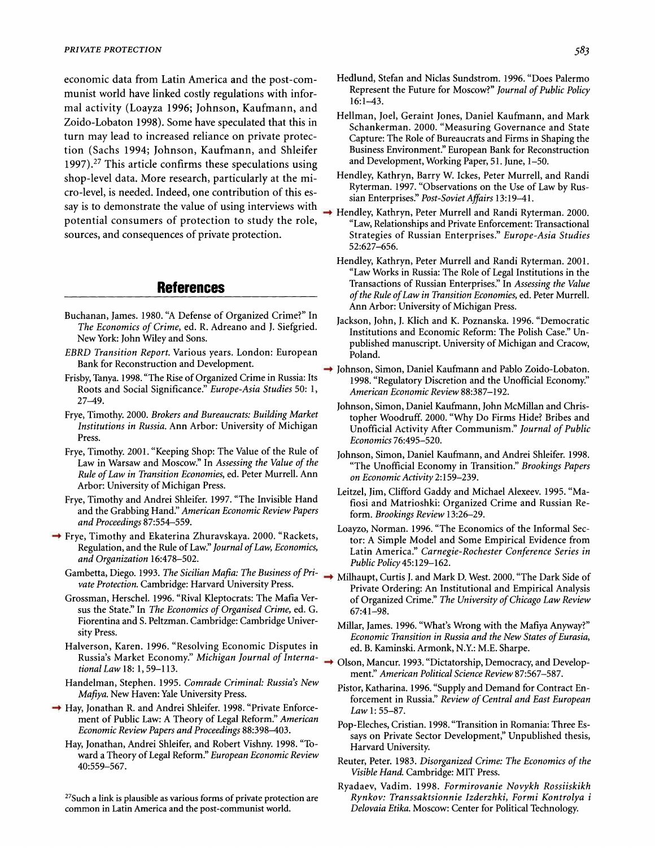**economic data from Latin America and the post-communist world have linked costly regulations with informal activity (Loayza 1996; Johnson, Kaufmann, and Zoido-Lobaton 1998). Some have speculated that this in turn may lead to increased reliance on private protection (Sachs 1994; Johnson, Kaufmann, and Shleifer 1997).27 This article confirms these speculations using shop-level data. More research, particularly at the micro-level, is needed. Indeed, one contribution of this essay is to demonstrate the value of using interviews with potential consumers of protection to study the role, sources, and consequences of private protection.** 

#### **References**

- **Buchanan, James. 1980. "A Defense of Organized Crime?" In The Economics of Crime, ed. R. Adreano and J. Siefgried. New York: John Wiley and Sons.**
- **EBRD Transition Report. Various years. London: European Bank for Reconstruction and Development.**
- **Frisby, Tanya. 1998. "The Rise of Organized Crime in Russia: Its Roots and Social Significance." Europe-Asia Studies 50: 1, 27-49.**
- **Frye, Timothy. 2000. Brokers and Bureaucrats: Building Market Institutions in Russia. Ann Arbor: University of Michigan Press.**
- **Frye, Timothy. 2001. "Keeping Shop: The Value of the Rule of Law in Warsaw and Moscow." In Assessing the Value of the Rule of Law in Transition Economies, ed. Peter Murrell. Ann Arbor: University of Michigan Press.**
- **Frye, Timothy and Andrei Shleifer. 1997. "The Invisible Hand and the Grabbing Hand." American Economic Review Papers and Proceedings 87:554-559.**
- **Frye, Timothy and Ekaterina Zhuravskaya. 2000. "Rackets, Regulation, and the Rule of Law." Journal of Law, Economics, and Organization 16:478-502.** 
	- **Gambetta, Diego. 1993. The Sicilian Mafia: The Business of Private Protection. Cambridge: Harvard University Press.**
	- **Grossman, Herschel. 1996. "Rival Kleptocrats: The Mafia Versus the State." In The Economics of Organised Crime, ed. G. Fiorentina and S. Peltzman. Cambridge: Cambridge University Press.**
	- **Halverson, Karen. 1996. "Resolving Economic Disputes in Russia's Market Economy." Michigan Journal of International Law 18: 1, 59-113.**
	- **Handelman, Stephen. 1995. Comrade Criminal: Russia's New Mafiya. New Haven: Yale University Press.**
- → Hay, Jonathan R. and Andrei Shleifer. 1998. "Private Enforce**ment of Public Law: A Theory of Legal Reform." American Economic Review Papers and Proceedings 88:398-403.** 
	- **Hay, Jonathan, Andrei Shleifer, and Robert Vishny. 1998. "Toward a Theory of Legal Reform." European Economic Review 40:559-567.**

**27Such a link is plausible as various forms of private protection are common in Latin America and the post-communist world.** 

- **Hedlund, Stefan and Niclas Sundstrom. 1996. "Does Palermo Represent the Future for Moscow?" Journal of Public Policy 16:1-43.**
- **Hellman, Joel, Geraint Jones, Daniel Kaufmann, and Mark Schankerman. 2000. "Measuring Governance and State Capture: The Role of Bureaucrats and Firms in Shaping the Business Environment." European Bank for Reconstruction and Development, Working Paper, 51. June, 1-50.**
- **Hendley, Kathryn, Barry W. Ickes, Peter Murrell, and Randi Ryterman. 1997. "Observations on the Use of Law by Russian Enterprises." Post-SovietAffairs 13:19-41.**
- **Hendley, Kathryn, Peter Murrell and Randi Ryterman. 2000. "Law, Relationships and Private Enforcement: Transactional Strategies of Russian Enterprises." Europe-Asia Studies 52:627-656.** 
	- **Hendley, Kathryn, Peter Murrell and Randi Ryterman. 2001. "Law Works in Russia: The Role of Legal Institutions in the Transactions of Russian Enterprises." In Assessing the Value of the Rule of Law in Transition Economies, ed. Peter Murrell. Ann Arbor: University of Michigan Press.**
	- **Jackson, John, J. Klich and K. Poznanska. 1996. "Democratic Institutions and Economic Reform: The Polish Case." Unpublished manuscript. University of Michigan and Cracow, Poland.**
- **Johnson, Simon, Daniel Kaufmann and Pablo Zoido-Lobaton. 1998. "Regulatory Discretion and the Unofficial Economy." American Economic Review 88:387-192.** 
	- **Johnson, Simon, Daniel Kaufmann, John McMillan and Christopher Woodruff. 2000. "Why Do Firms Hide? Bribes and Unofficial Activity After Communism." Journal of Public Economics 76:495-520.**
	- **Johnson, Simon, Daniel Kaufmann, and Andrei Shleifer. 1998. "The Unofficial Economy in Transition." Brookings Papers on Economic Activity 2:159-239.**
	- **Leitzel, Jim, Clifford Gaddy and Michael Alexeev. 1995. "Mafiosi and Matrioshki: Organized Crime and Russian Reform. Brookings Review 13:26-29.**
	- **Loayzo, Norman. 1996. "The Economics of the Informal Sector: A Simple Model and Some Empirical Evidence from Latin America." Carnegie-Rochester Conference Series in Public Policy 45:129-162.**
- **Milhaupt, Curtis J. and Mark D. West. 2000. "The Dark Side of Private Ordering: An Institutional and Empirical Analysis of Organized Crime." The University of Chicago Law Review 67:41-98.** 
	- **Millar, James. 1996. "What's Wrong with the Mafiya Anyway?" Economic Transition in Russia and the New States of Eurasia, ed. B. Kaminski. Armonk, N.Y.: M.E. Sharpe.**
- **→ Olson, Mancur. 1993. "Dictatorship, Democracy, and Development." American Political Science Review 87:567-587.** 
	- **Pistor, Katharina. 1996. "Supply and Demand for Contract Enforcement in Russia." Review of Central and East European Law 1: 55-87.**
	- **Pop-Eleches, Cristian. 1998. "Transition in Romania: Three Essays on Private Sector Development," Unpublished thesis, Harvard University.**
	- **Reuter, Peter. 1983. Disorganized Crime: The Economics of the Visible Hand. Cambridge: MIT Press.**
	- **Ryadaev, Vadim. 1998. Formirovanie Novykh Rossiiskikh Rynkov: Transsaktsionnie Izderzhki, Formi Kontrolya i Delovaia Etika. Moscow: Center for Political Technology.**